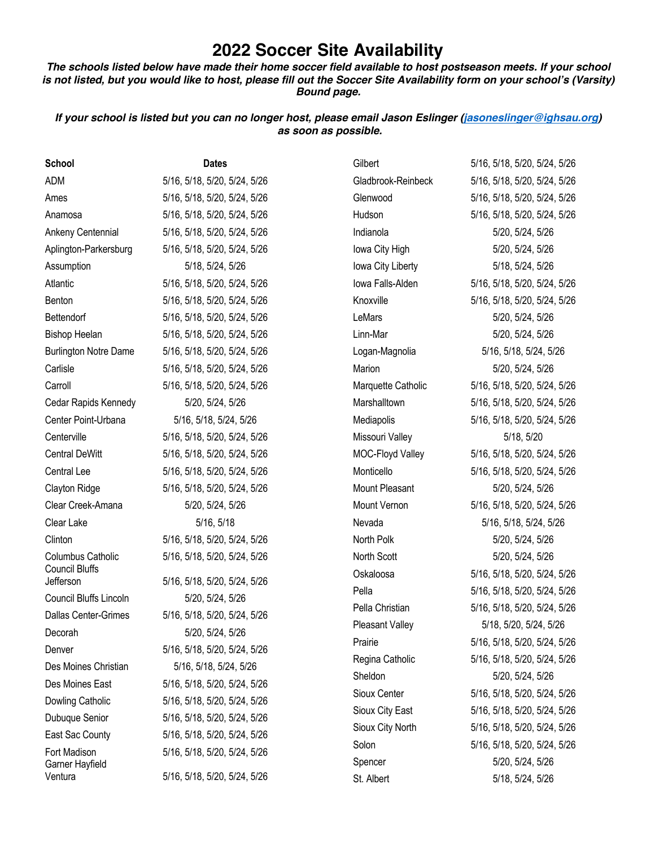## **2022 Soccer Site Availability**

*The schools listed below have made their home* **soccer field available** *to* **host** *postseason meets. If your school is not listed, but you would like to host, please fill out the* **Soccer** *Site Availability form on your school's (Varsity) Bound page.* 

*If your school is listed but you can no longer host, please email Jason Eslinger (jasoneslinger@ighsau.org) as soon as possible.*

| <b>School</b>                      | <b>Dates</b>                 | Gilbert               | 5/16, 5/18, 5/20, 5/24, 5/26 |
|------------------------------------|------------------------------|-----------------------|------------------------------|
| <b>ADM</b>                         | 5/16, 5/18, 5/20, 5/24, 5/26 | Gladbrook-Reinbeck    | 5/16, 5/18, 5/20, 5/24, 5/26 |
| Ames                               | 5/16, 5/18, 5/20, 5/24, 5/26 | Glenwood              | 5/16, 5/18, 5/20, 5/24, 5/26 |
| Anamosa                            | 5/16, 5/18, 5/20, 5/24, 5/26 | Hudson                | 5/16, 5/18, 5/20, 5/24, 5/26 |
| Ankeny Centennial                  | 5/16, 5/18, 5/20, 5/24, 5/26 | Indianola             | 5/20, 5/24, 5/26             |
| Aplington-Parkersburg              | 5/16, 5/18, 5/20, 5/24, 5/26 | Iowa City High        | 5/20, 5/24, 5/26             |
| Assumption                         | 5/18, 5/24, 5/26             | Iowa City Liberty     | 5/18, 5/24, 5/26             |
| Atlantic                           | 5/16, 5/18, 5/20, 5/24, 5/26 | Iowa Falls-Alden      | 5/16, 5/18, 5/20, 5/24, 5/26 |
| Benton                             | 5/16, 5/18, 5/20, 5/24, 5/26 | Knoxville             | 5/16, 5/18, 5/20, 5/24, 5/26 |
| Bettendorf                         | 5/16, 5/18, 5/20, 5/24, 5/26 | LeMars                | 5/20, 5/24, 5/26             |
| <b>Bishop Heelan</b>               | 5/16, 5/18, 5/20, 5/24, 5/26 | Linn-Mar              | 5/20, 5/24, 5/26             |
| <b>Burlington Notre Dame</b>       | 5/16, 5/18, 5/20, 5/24, 5/26 | Logan-Magnolia        | 5/16, 5/18, 5/24, 5/26       |
| Carlisle                           | 5/16, 5/18, 5/20, 5/24, 5/26 | Marion                | 5/20, 5/24, 5/26             |
| Carroll                            | 5/16, 5/18, 5/20, 5/24, 5/26 | Marquette Catholic    | 5/16, 5/18, 5/20, 5/24, 5/26 |
| Cedar Rapids Kennedy               | 5/20, 5/24, 5/26             | Marshalltown          | 5/16, 5/18, 5/20, 5/24, 5/26 |
| Center Point-Urbana                | 5/16, 5/18, 5/24, 5/26       | Mediapolis            | 5/16, 5/18, 5/20, 5/24, 5/26 |
| Centerville                        | 5/16, 5/18, 5/20, 5/24, 5/26 | Missouri Valley       | 5/18, 5/20                   |
| <b>Central DeWitt</b>              | 5/16, 5/18, 5/20, 5/24, 5/26 | MOC-Floyd Valley      | 5/16, 5/18, 5/20, 5/24, 5/26 |
| Central Lee                        | 5/16, 5/18, 5/20, 5/24, 5/26 | Monticello            | 5/16, 5/18, 5/20, 5/24, 5/26 |
| Clayton Ridge                      | 5/16, 5/18, 5/20, 5/24, 5/26 | <b>Mount Pleasant</b> | 5/20, 5/24, 5/26             |
| Clear Creek-Amana                  | 5/20, 5/24, 5/26             | Mount Vernon          | 5/16, 5/18, 5/20, 5/24, 5/26 |
| Clear Lake                         | 5/16, 5/18                   | Nevada                | 5/16, 5/18, 5/24, 5/26       |
| Clinton                            | 5/16, 5/18, 5/20, 5/24, 5/26 | North Polk            | 5/20, 5/24, 5/26             |
| Columbus Catholic                  | 5/16, 5/18, 5/20, 5/24, 5/26 | North Scott           | 5/20, 5/24, 5/26             |
| <b>Council Bluffs</b><br>Jefferson | 5/16, 5/18, 5/20, 5/24, 5/26 | Oskaloosa             | 5/16, 5/18, 5/20, 5/24, 5/26 |
| Council Bluffs Lincoln             | 5/20, 5/24, 5/26             | Pella                 | 5/16, 5/18, 5/20, 5/24, 5/26 |
| <b>Dallas Center-Grimes</b>        | 5/16, 5/18, 5/20, 5/24, 5/26 | Pella Christian       | 5/16, 5/18, 5/20, 5/24, 5/26 |
| Decorah                            | 5/20, 5/24, 5/26             | Pleasant Valley       | 5/18, 5/20, 5/24, 5/26       |
| Denver                             | 5/16, 5/18, 5/20, 5/24, 5/26 | Prairie               | 5/16, 5/18, 5/20, 5/24, 5/26 |
| Des Moines Christian               | 5/16, 5/18, 5/24, 5/26       | Regina Catholic       | 5/16, 5/18, 5/20, 5/24, 5/26 |
| Des Moines East                    | 5/16, 5/18, 5/20, 5/24, 5/26 | Sheldon               | 5/20, 5/24, 5/26             |
| Dowling Catholic                   | 5/16, 5/18, 5/20, 5/24, 5/26 | Sioux Center          | 5/16, 5/18, 5/20, 5/24, 5/26 |
| Dubuque Senior                     | 5/16, 5/18, 5/20, 5/24, 5/26 | Sioux City East       | 5/16, 5/18, 5/20, 5/24, 5/26 |
| East Sac County                    | 5/16, 5/18, 5/20, 5/24, 5/26 | Sioux City North      | 5/16, 5/18, 5/20, 5/24, 5/26 |
| Fort Madison                       | 5/16, 5/18, 5/20, 5/24, 5/26 | Solon                 | 5/16, 5/18, 5/20, 5/24, 5/26 |
| Garner Hayfield                    |                              | Spencer               | 5/20, 5/24, 5/26             |
| Ventura                            | 5/16, 5/18, 5/20, 5/24, 5/26 | St. Albert            | 5/18, 5/24, 5/26             |